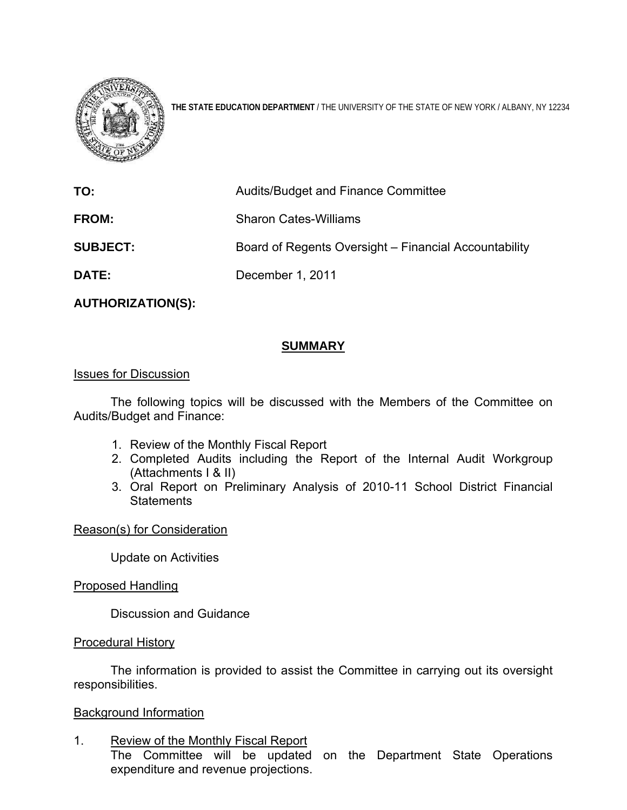

**THE STATE EDUCATION DEPARTMENT** / THE UNIVERSITY OF THE STATE OF NEW YORK / ALBANY, NY 12234

| Audits/Budget and Finance Committee                   |
|-------------------------------------------------------|
| <b>Sharon Cates-Williams</b>                          |
| Board of Regents Oversight – Financial Accountability |
| December 1, 2011                                      |
|                                                       |

**AUTHORIZATION(S):** 

# **SUMMARY**

#### Issues for Discussion

 The following topics will be discussed with the Members of the Committee on Audits/Budget and Finance:

- 1. Review of the Monthly Fiscal Report
- 2. Completed Audits including the Report of the Internal Audit Workgroup (Attachments I & II)
- 3. Oral Report on Preliminary Analysis of 2010-11 School District Financial **Statements**

# Reason(s) for Consideration

Update on Activities

Proposed Handling

Discussion and Guidance

#### Procedural History

The information is provided to assist the Committee in carrying out its oversight responsibilities.

# Background Information

1. Review of the Monthly Fiscal Report

 The Committee will be updated on the Department State Operations expenditure and revenue projections.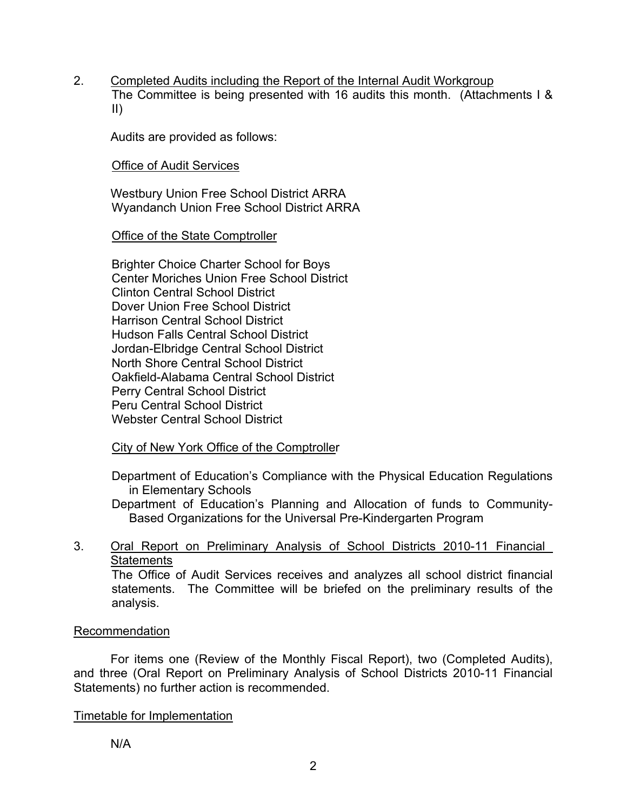2. Completed Audits including the Report of the Internal Audit Workgroup The Committee is being presented with 16 audits this month. (Attachments I & II)

Audits are provided as follows:

Office of Audit Services

 Westbury Union Free School District ARRA Wyandanch Union Free School District ARRA

Office of the State Comptroller

Brighter Choice Charter School for Boys Center Moriches Union Free School District Clinton Central School District Dover Union Free School District Harrison Central School District Hudson Falls Central School District Jordan-Elbridge Central School District North Shore Central School District Oakfield-Alabama Central School District Perry Central School District Peru Central School District Webster Central School District

City of New York Office of the Comptroller

Department of Education's Compliance with the Physical Education Regulations in Elementary Schools

Department of Education's Planning and Allocation of funds to Community-Based Organizations for the Universal Pre-Kindergarten Program

# 3. Oral Report on Preliminary Analysis of School Districts 2010-11 Financial **Statements**

The Office of Audit Services receives and analyzes all school district financial statements. The Committee will be briefed on the preliminary results of the analysis.

# Recommendation

For items one (Review of the Monthly Fiscal Report), two (Completed Audits), and three (Oral Report on Preliminary Analysis of School Districts 2010-11 Financial Statements) no further action is recommended.

# Timetable for Implementation

N/A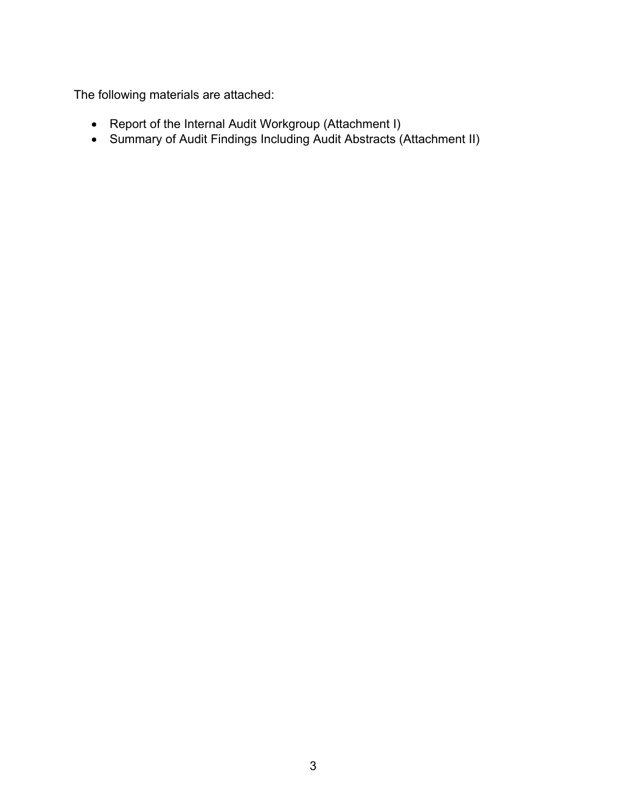The following materials are attached:

- Report of the Internal Audit Workgroup (Attachment I)
- Summary of Audit Findings Including Audit Abstracts (Attachment II)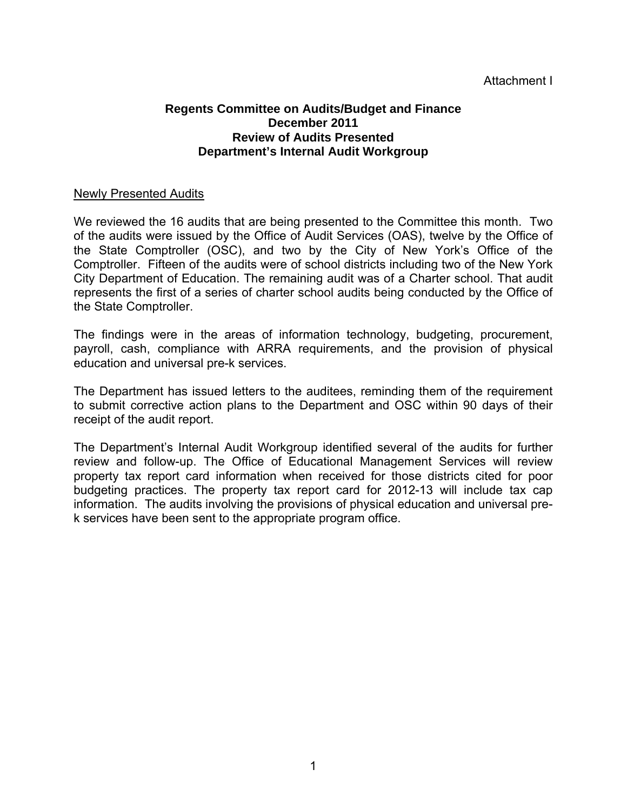# Attachment I

#### **Regents Committee on Audits/Budget and Finance December 2011 Review of Audits Presented Department's Internal Audit Workgroup**

#### Newly Presented Audits

We reviewed the 16 audits that are being presented to the Committee this month. Two of the audits were issued by the Office of Audit Services (OAS), twelve by the Office of the State Comptroller (OSC), and two by the City of New York's Office of the Comptroller. Fifteen of the audits were of school districts including two of the New York City Department of Education. The remaining audit was of a Charter school. That audit represents the first of a series of charter school audits being conducted by the Office of the State Comptroller.

The findings were in the areas of information technology, budgeting, procurement, payroll, cash, compliance with ARRA requirements, and the provision of physical education and universal pre-k services.

The Department has issued letters to the auditees, reminding them of the requirement to submit corrective action plans to the Department and OSC within 90 days of their receipt of the audit report.

The Department's Internal Audit Workgroup identified several of the audits for further review and follow-up. The Office of Educational Management Services will review property tax report card information when received for those districts cited for poor budgeting practices. The property tax report card for 2012-13 will include tax cap information. The audits involving the provisions of physical education and universal prek services have been sent to the appropriate program office.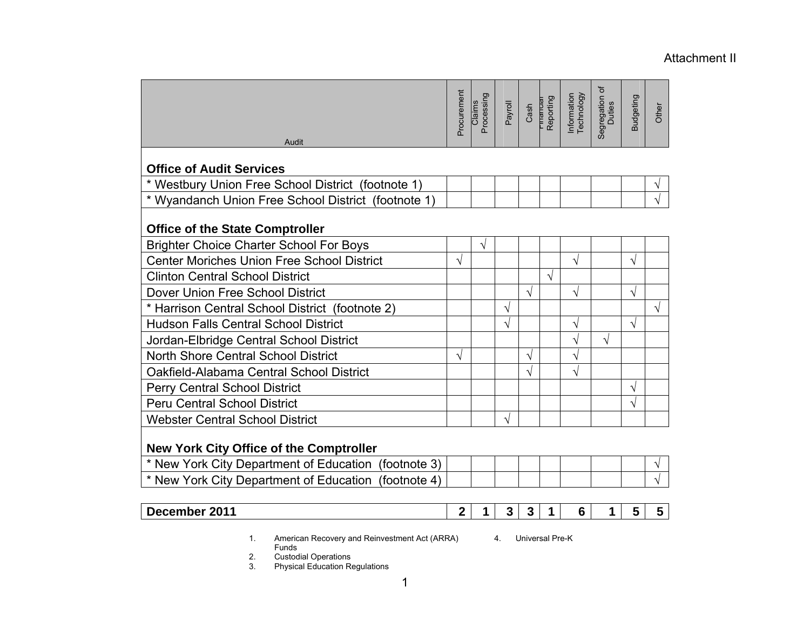#### Attachment II

|                                                      | Procurement    | Claims<br>Processing | Payroll | Cash         | Tinanuar<br>Reporting | Information<br>Technology | Segregation of<br>Duties | <b>Budgeting</b>        | Other     |
|------------------------------------------------------|----------------|----------------------|---------|--------------|-----------------------|---------------------------|--------------------------|-------------------------|-----------|
| Audit                                                |                |                      |         |              |                       |                           |                          |                         |           |
| <b>Office of Audit Services</b>                      |                |                      |         |              |                       |                           |                          |                         |           |
| * Westbury Union Free School District (footnote 1)   |                |                      |         |              |                       |                           |                          |                         | ٦         |
| * Wyandanch Union Free School District (footnote 1)  |                |                      |         |              |                       |                           |                          |                         |           |
| <b>Office of the State Comptroller</b>               |                |                      |         |              |                       |                           |                          |                         |           |
| <b>Brighter Choice Charter School For Boys</b>       |                | V                    |         |              |                       |                           |                          |                         |           |
| <b>Center Moriches Union Free School District</b>    | V              |                      |         |              |                       | V                         |                          | $\sqrt{}$               |           |
| <b>Clinton Central School District</b>               |                |                      |         |              | V                     |                           |                          |                         |           |
| Dover Union Free School District                     |                |                      |         | $\sqrt{}$    |                       | V                         |                          | $\sqrt{}$               |           |
| * Harrison Central School District (footnote 2)      |                |                      | V       |              |                       |                           |                          |                         | $\sqrt{}$ |
| <b>Hudson Falls Central School District</b>          |                |                      | V       |              |                       | V                         |                          | $\sqrt{ }$              |           |
| Jordan-Elbridge Central School District              |                |                      |         |              |                       |                           | √                        |                         |           |
| <b>North Shore Central School District</b>           | V              |                      |         | V            |                       | V                         |                          |                         |           |
| Oakfield-Alabama Central School District             |                |                      |         | V            |                       | V                         |                          |                         |           |
| <b>Perry Central School District</b>                 |                |                      |         |              |                       |                           |                          | V                       |           |
| <b>Peru Central School District</b>                  |                |                      |         |              |                       |                           |                          | $\sqrt{}$               |           |
| <b>Webster Central School District</b>               |                |                      | V       |              |                       |                           |                          |                         |           |
| <b>New York City Office of the Comptroller</b>       |                |                      |         |              |                       |                           |                          |                         |           |
| * New York City Department of Education (footnote 3) |                |                      |         |              |                       |                           |                          |                         | ٦         |
| * New York City Department of Education (footnote 4) |                |                      |         |              |                       |                           |                          |                         |           |
| December 2011                                        | $\overline{2}$ | 1                    | 3       | $\mathbf{3}$ | 1                     | 6                         | 1                        | $\overline{\mathbf{5}}$ | 5         |

1. American Recovery and Reinvestment Act (ARRA) Funds 2. Custodial Operations

3. Physical Education Regulations

4. Universal Pre-K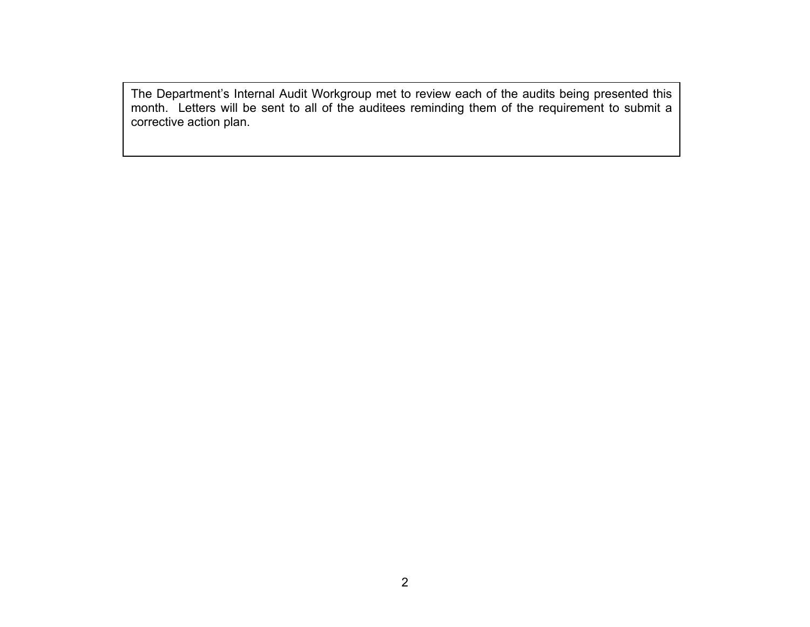The Department's Internal Audit Workgroup met to review each of the audits being presented this month. Letters will be sent to all of the auditees reminding them of the requirement to submit a corrective action plan.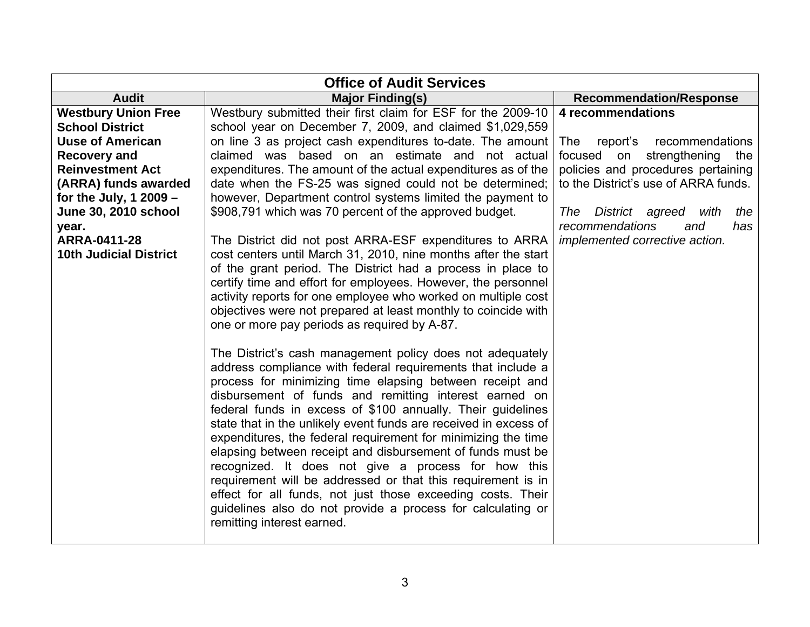| <b>Office of Audit Services</b>                      |                                                                                                                                                                                                                                                                                                                                                                                                                                                                                                                                                                                                                                                                                                                                                                                                                                                                                                                                                                                                                                                                                                                                                                                                                                                     |                                                                     |  |
|------------------------------------------------------|-----------------------------------------------------------------------------------------------------------------------------------------------------------------------------------------------------------------------------------------------------------------------------------------------------------------------------------------------------------------------------------------------------------------------------------------------------------------------------------------------------------------------------------------------------------------------------------------------------------------------------------------------------------------------------------------------------------------------------------------------------------------------------------------------------------------------------------------------------------------------------------------------------------------------------------------------------------------------------------------------------------------------------------------------------------------------------------------------------------------------------------------------------------------------------------------------------------------------------------------------------|---------------------------------------------------------------------|--|
| <b>Audit</b>                                         | <b>Major Finding(s)</b>                                                                                                                                                                                                                                                                                                                                                                                                                                                                                                                                                                                                                                                                                                                                                                                                                                                                                                                                                                                                                                                                                                                                                                                                                             | <b>Recommendation/Response</b>                                      |  |
| <b>Westbury Union Free</b><br><b>School District</b> | Westbury submitted their first claim for ESF for the 2009-10<br>school year on December 7, 2009, and claimed \$1,029,559                                                                                                                                                                                                                                                                                                                                                                                                                                                                                                                                                                                                                                                                                                                                                                                                                                                                                                                                                                                                                                                                                                                            | 4 recommendations                                                   |  |
| <b>Uuse of American</b>                              | on line 3 as project cash expenditures to-date. The amount                                                                                                                                                                                                                                                                                                                                                                                                                                                                                                                                                                                                                                                                                                                                                                                                                                                                                                                                                                                                                                                                                                                                                                                          | report's<br>recommendations<br>The                                  |  |
| <b>Recovery and</b>                                  | claimed was based on an estimate and not actual                                                                                                                                                                                                                                                                                                                                                                                                                                                                                                                                                                                                                                                                                                                                                                                                                                                                                                                                                                                                                                                                                                                                                                                                     | focused<br>strengthening<br>on<br>the                               |  |
| <b>Reinvestment Act</b>                              | expenditures. The amount of the actual expenditures as of the                                                                                                                                                                                                                                                                                                                                                                                                                                                                                                                                                                                                                                                                                                                                                                                                                                                                                                                                                                                                                                                                                                                                                                                       | policies and procedures pertaining                                  |  |
| (ARRA) funds awarded                                 | date when the FS-25 was signed could not be determined;                                                                                                                                                                                                                                                                                                                                                                                                                                                                                                                                                                                                                                                                                                                                                                                                                                                                                                                                                                                                                                                                                                                                                                                             | to the District's use of ARRA funds.                                |  |
| for the July, 1 2009 $-$                             | however, Department control systems limited the payment to                                                                                                                                                                                                                                                                                                                                                                                                                                                                                                                                                                                                                                                                                                                                                                                                                                                                                                                                                                                                                                                                                                                                                                                          |                                                                     |  |
| <b>June 30, 2010 school</b><br>year.                 | \$908,791 which was 70 percent of the approved budget.                                                                                                                                                                                                                                                                                                                                                                                                                                                                                                                                                                                                                                                                                                                                                                                                                                                                                                                                                                                                                                                                                                                                                                                              | District agreed with<br>the<br>The<br>recommendations<br>and<br>has |  |
| <b>ARRA-0411-28</b><br><b>10th Judicial District</b> | The District did not post ARRA-ESF expenditures to ARRA<br>cost centers until March 31, 2010, nine months after the start<br>of the grant period. The District had a process in place to<br>certify time and effort for employees. However, the personnel<br>activity reports for one employee who worked on multiple cost<br>objectives were not prepared at least monthly to coincide with<br>one or more pay periods as required by A-87.<br>The District's cash management policy does not adequately<br>address compliance with federal requirements that include a<br>process for minimizing time elapsing between receipt and<br>disbursement of funds and remitting interest earned on<br>federal funds in excess of \$100 annually. Their guidelines<br>state that in the unlikely event funds are received in excess of<br>expenditures, the federal requirement for minimizing the time<br>elapsing between receipt and disbursement of funds must be<br>recognized. It does not give a process for how this<br>requirement will be addressed or that this requirement is in<br>effect for all funds, not just those exceeding costs. Their<br>guidelines also do not provide a process for calculating or<br>remitting interest earned. | implemented corrective action.                                      |  |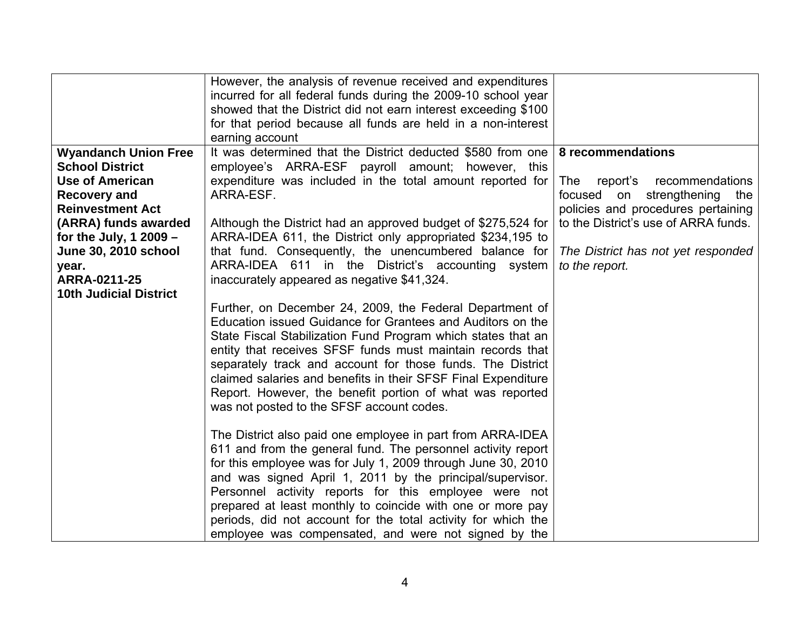|                                                                                                                                                                                                                                                                        | However, the analysis of revenue received and expenditures<br>incurred for all federal funds during the 2009-10 school year<br>showed that the District did not earn interest exceeding \$100<br>for that period because all funds are held in a non-interest<br>earning account                                                                                                                                                                                                                                                                                                                                                                                                                                                                                                                             |                                                                                                                                                                                                                               |
|------------------------------------------------------------------------------------------------------------------------------------------------------------------------------------------------------------------------------------------------------------------------|--------------------------------------------------------------------------------------------------------------------------------------------------------------------------------------------------------------------------------------------------------------------------------------------------------------------------------------------------------------------------------------------------------------------------------------------------------------------------------------------------------------------------------------------------------------------------------------------------------------------------------------------------------------------------------------------------------------------------------------------------------------------------------------------------------------|-------------------------------------------------------------------------------------------------------------------------------------------------------------------------------------------------------------------------------|
| <b>Wyandanch Union Free</b><br><b>School District</b><br>Use of American<br><b>Recovery and</b><br><b>Reinvestment Act</b><br>(ARRA) funds awarded<br>for the July, $12009 -$<br><b>June 30, 2010 school</b><br>year.<br>ARRA-0211-25<br><b>10th Judicial District</b> | It was determined that the District deducted \$580 from one<br>employee's ARRA-ESF payroll amount; however, this<br>expenditure was included in the total amount reported for<br>ARRA-ESF.<br>Although the District had an approved budget of \$275,524 for<br>ARRA-IDEA 611, the District only appropriated \$234,195 to<br>that fund. Consequently, the unencumbered balance for<br>ARRA-IDEA 611 in the District's accounting system<br>inaccurately appeared as negative \$41,324.<br>Further, on December 24, 2009, the Federal Department of<br>Education issued Guidance for Grantees and Auditors on the<br>State Fiscal Stabilization Fund Program which states that an<br>entity that receives SFSF funds must maintain records that<br>separately track and account for those funds. The District | 8 recommendations<br>The<br>recommendations<br>report's<br>focused on strengthening the<br>policies and procedures pertaining<br>to the District's use of ARRA funds.<br>The District has not yet responded<br>to the report. |
|                                                                                                                                                                                                                                                                        | claimed salaries and benefits in their SFSF Final Expenditure<br>Report. However, the benefit portion of what was reported<br>was not posted to the SFSF account codes.<br>The District also paid one employee in part from ARRA-IDEA<br>611 and from the general fund. The personnel activity report<br>for this employee was for July 1, 2009 through June 30, 2010<br>and was signed April 1, 2011 by the principal/supervisor.<br>Personnel activity reports for this employee were not<br>prepared at least monthly to coincide with one or more pay<br>periods, did not account for the total activity for which the<br>employee was compensated, and were not signed by the                                                                                                                           |                                                                                                                                                                                                                               |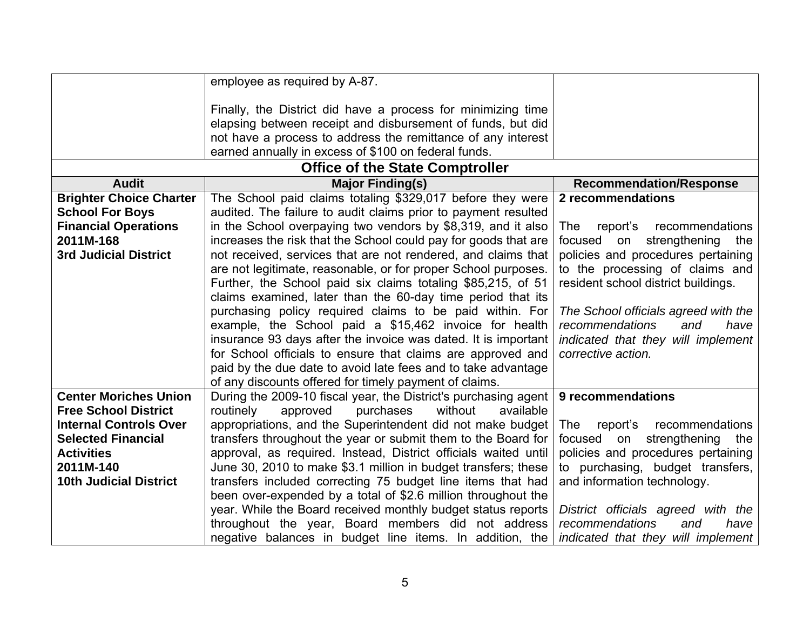|                                | employee as required by A-87.                                   |                                      |
|--------------------------------|-----------------------------------------------------------------|--------------------------------------|
|                                | Finally, the District did have a process for minimizing time    |                                      |
|                                | elapsing between receipt and disbursement of funds, but did     |                                      |
|                                | not have a process to address the remittance of any interest    |                                      |
|                                | earned annually in excess of \$100 on federal funds.            |                                      |
|                                |                                                                 |                                      |
|                                | <b>Office of the State Comptroller</b>                          |                                      |
| <b>Audit</b>                   | <b>Major Finding(s)</b>                                         | <b>Recommendation/Response</b>       |
| <b>Brighter Choice Charter</b> | The School paid claims totaling \$329,017 before they were      | 2 recommendations                    |
| <b>School For Boys</b>         | audited. The failure to audit claims prior to payment resulted  |                                      |
| <b>Financial Operations</b>    | in the School overpaying two vendors by \$8,319, and it also    | The<br>report's<br>recommendations   |
| 2011M-168                      | increases the risk that the School could pay for goods that are | strengthening<br>focused on<br>the   |
| <b>3rd Judicial District</b>   | not received, services that are not rendered, and claims that   | policies and procedures pertaining   |
|                                | are not legitimate, reasonable, or for proper School purposes.  | to the processing of claims and      |
|                                | Further, the School paid six claims totaling \$85,215, of 51    | resident school district buildings.  |
|                                | claims examined, later than the 60-day time period that its     |                                      |
|                                | purchasing policy required claims to be paid within. For        | The School officials agreed with the |
|                                | example, the School paid a \$15,462 invoice for health          | recommendations<br>and<br>have       |
|                                | insurance 93 days after the invoice was dated. It is important  | indicated that they will implement   |
|                                | for School officials to ensure that claims are approved and     | corrective action.                   |
|                                | paid by the due date to avoid late fees and to take advantage   |                                      |
|                                | of any discounts offered for timely payment of claims.          |                                      |
| <b>Center Moriches Union</b>   | During the 2009-10 fiscal year, the District's purchasing agent | 9 recommendations                    |
| <b>Free School District</b>    | routinely<br>approved<br>purchases<br>without<br>available      |                                      |
| <b>Internal Controls Over</b>  | appropriations, and the Superintendent did not make budget      | report's recommendations<br>The      |
| <b>Selected Financial</b>      | transfers throughout the year or submit them to the Board for   | strengthening the<br>focused on      |
| <b>Activities</b>              | approval, as required. Instead, District officials waited until | policies and procedures pertaining   |
| 2011M-140                      | June 30, 2010 to make \$3.1 million in budget transfers; these  | to purchasing, budget transfers,     |
| <b>10th Judicial District</b>  | transfers included correcting 75 budget line items that had     | and information technology.          |
|                                | been over-expended by a total of \$2.6 million throughout the   |                                      |
|                                | year. While the Board received monthly budget status reports    | District officials agreed with the   |
|                                | throughout the year, Board members did not address              | recommendations<br>have<br>and       |
|                                | negative balances in budget line items. In addition, the        | indicated that they will implement   |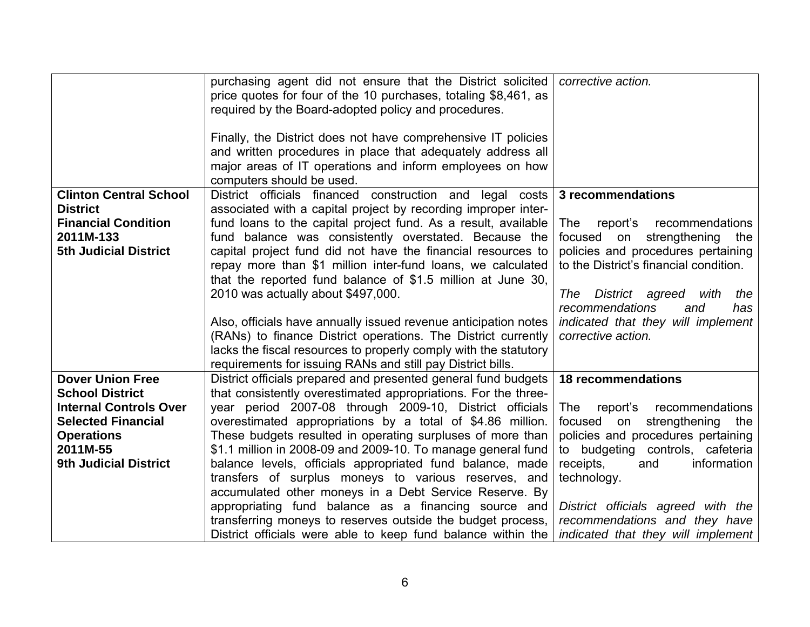|                               | purchasing agent did not ensure that the District solicited<br>price quotes for four of the 10 purchases, totaling \$8,461, as<br>required by the Board-adopted policy and procedures.                                | corrective action.                                       |
|-------------------------------|-----------------------------------------------------------------------------------------------------------------------------------------------------------------------------------------------------------------------|----------------------------------------------------------|
|                               | Finally, the District does not have comprehensive IT policies<br>and written procedures in place that adequately address all<br>major areas of IT operations and inform employees on how<br>computers should be used. |                                                          |
| <b>Clinton Central School</b> | District officials financed construction and legal costs                                                                                                                                                              | 3 recommendations                                        |
| <b>District</b>               | associated with a capital project by recording improper inter-                                                                                                                                                        |                                                          |
| <b>Financial Condition</b>    | fund loans to the capital project fund. As a result, available                                                                                                                                                        | <b>The</b><br>report's<br>recommendations                |
| 2011M-133                     | fund balance was consistently overstated. Because the                                                                                                                                                                 | focused<br>strengthening<br>on<br>the                    |
| <b>5th Judicial District</b>  | capital project fund did not have the financial resources to                                                                                                                                                          | policies and procedures pertaining                       |
|                               | repay more than \$1 million inter-fund loans, we calculated                                                                                                                                                           | to the District's financial condition.                   |
|                               | that the reported fund balance of \$1.5 million at June 30,                                                                                                                                                           |                                                          |
|                               | 2010 was actually about \$497,000.                                                                                                                                                                                    | The<br>District agreed<br>the<br>with                    |
|                               |                                                                                                                                                                                                                       | recommendations<br>and<br>has                            |
|                               | Also, officials have annually issued revenue anticipation notes<br>(RANs) to finance District operations. The District currently                                                                                      | indicated that they will implement<br>corrective action. |
|                               | lacks the fiscal resources to properly comply with the statutory                                                                                                                                                      |                                                          |
|                               | requirements for issuing RANs and still pay District bills.                                                                                                                                                           |                                                          |
| <b>Dover Union Free</b>       | District officials prepared and presented general fund budgets                                                                                                                                                        | <b>18 recommendations</b>                                |
| <b>School District</b>        | that consistently overestimated appropriations. For the three-                                                                                                                                                        |                                                          |
| <b>Internal Controls Over</b> | year period 2007-08 through 2009-10, District officials                                                                                                                                                               | The<br>report's<br>recommendations                       |
| <b>Selected Financial</b>     | overestimated appropriations by a total of \$4.86 million.                                                                                                                                                            | focused on<br>strengthening the                          |
| <b>Operations</b>             | These budgets resulted in operating surpluses of more than                                                                                                                                                            | policies and procedures pertaining                       |
| 2011M-55                      | \$1.1 million in 2008-09 and 2009-10. To manage general fund                                                                                                                                                          | to budgeting controls, cafeteria                         |
| <b>9th Judicial District</b>  | balance levels, officials appropriated fund balance, made                                                                                                                                                             | receipts,<br>information<br>and                          |
|                               | transfers of surplus moneys to various reserves, and                                                                                                                                                                  | technology.                                              |
|                               | accumulated other moneys in a Debt Service Reserve. By                                                                                                                                                                |                                                          |
|                               | appropriating fund balance as a financing source and                                                                                                                                                                  | District officials agreed with the                       |
|                               | transferring moneys to reserves outside the budget process,                                                                                                                                                           | recommendations and they have                            |
|                               | District officials were able to keep fund balance within the                                                                                                                                                          | indicated that they will implement                       |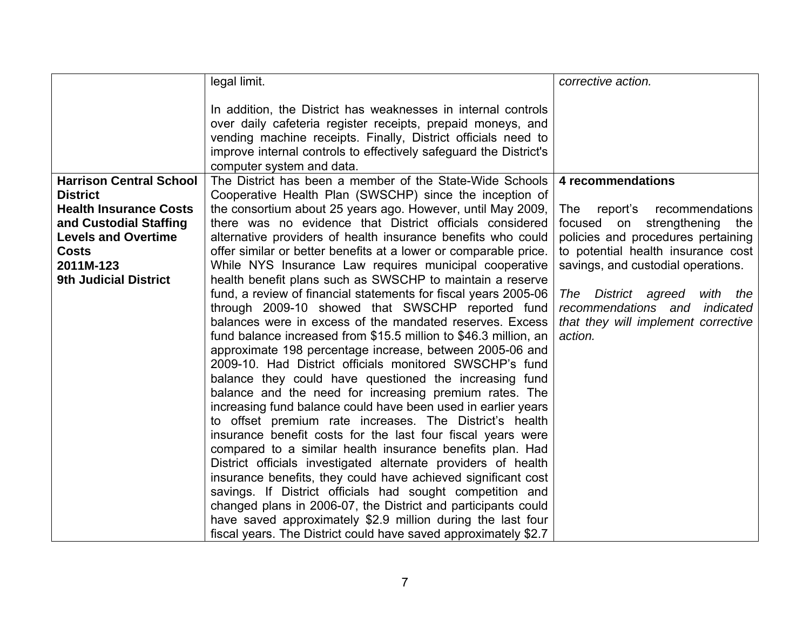|                                | legal limit.                                                                                                                 | corrective action.                     |
|--------------------------------|------------------------------------------------------------------------------------------------------------------------------|----------------------------------------|
|                                | In addition, the District has weaknesses in internal controls                                                                |                                        |
|                                | over daily cafeteria register receipts, prepaid moneys, and                                                                  |                                        |
|                                | vending machine receipts. Finally, District officials need to                                                                |                                        |
|                                | improve internal controls to effectively safeguard the District's                                                            |                                        |
|                                | computer system and data.                                                                                                    |                                        |
| <b>Harrison Central School</b> | The District has been a member of the State-Wide Schools                                                                     | 4 recommendations                      |
| <b>District</b>                | Cooperative Health Plan (SWSCHP) since the inception of                                                                      |                                        |
| <b>Health Insurance Costs</b>  | the consortium about 25 years ago. However, until May 2009,                                                                  | <b>The</b><br>report's recommendations |
| and Custodial Staffing         | there was no evidence that District officials considered                                                                     | strengthening<br>focused on<br>the     |
| <b>Levels and Overtime</b>     | alternative providers of health insurance benefits who could                                                                 | policies and procedures pertaining     |
| <b>Costs</b>                   | offer similar or better benefits at a lower or comparable price.                                                             | to potential health insurance cost     |
| 2011M-123                      | While NYS Insurance Law requires municipal cooperative                                                                       | savings, and custodial operations.     |
| <b>9th Judicial District</b>   | health benefit plans such as SWSCHP to maintain a reserve                                                                    |                                        |
|                                | fund, a review of financial statements for fiscal years 2005-06                                                              | District agreed<br>The<br>with<br>the  |
|                                | through 2009-10 showed that SWSCHP reported fund                                                                             | recommendations and indicated          |
|                                | balances were in excess of the mandated reserves. Excess                                                                     | that they will implement corrective    |
|                                | fund balance increased from \$15.5 million to \$46.3 million, an<br>approximate 198 percentage increase, between 2005-06 and | action.                                |
|                                | 2009-10. Had District officials monitored SWSCHP's fund                                                                      |                                        |
|                                | balance they could have questioned the increasing fund                                                                       |                                        |
|                                | balance and the need for increasing premium rates. The                                                                       |                                        |
|                                | increasing fund balance could have been used in earlier years                                                                |                                        |
|                                | to offset premium rate increases. The District's health                                                                      |                                        |
|                                | insurance benefit costs for the last four fiscal years were                                                                  |                                        |
|                                | compared to a similar health insurance benefits plan. Had                                                                    |                                        |
|                                | District officials investigated alternate providers of health                                                                |                                        |
|                                | insurance benefits, they could have achieved significant cost                                                                |                                        |
|                                | savings. If District officials had sought competition and                                                                    |                                        |
|                                | changed plans in 2006-07, the District and participants could                                                                |                                        |
|                                | have saved approximately \$2.9 million during the last four                                                                  |                                        |
|                                | fiscal years. The District could have saved approximately \$2.7                                                              |                                        |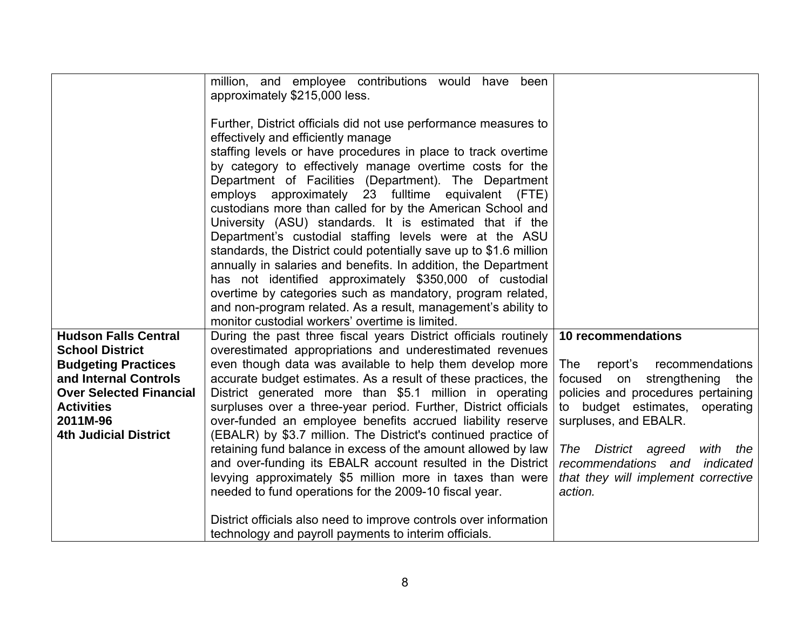|                                                     | million, and employee contributions would have been<br>approximately \$215,000 less.                                         |                                                                           |
|-----------------------------------------------------|------------------------------------------------------------------------------------------------------------------------------|---------------------------------------------------------------------------|
|                                                     | Further, District officials did not use performance measures to                                                              |                                                                           |
|                                                     | effectively and efficiently manage                                                                                           |                                                                           |
|                                                     | staffing levels or have procedures in place to track overtime<br>by category to effectively manage overtime costs for the    |                                                                           |
|                                                     | Department of Facilities (Department). The Department                                                                        |                                                                           |
|                                                     | employs approximately 23 fulltime equivalent (FTE)                                                                           |                                                                           |
|                                                     | custodians more than called for by the American School and                                                                   |                                                                           |
|                                                     | University (ASU) standards. It is estimated that if the                                                                      |                                                                           |
|                                                     | Department's custodial staffing levels were at the ASU                                                                       |                                                                           |
|                                                     | standards, the District could potentially save up to \$1.6 million                                                           |                                                                           |
|                                                     | annually in salaries and benefits. In addition, the Department<br>has not identified approximately \$350,000 of custodial    |                                                                           |
|                                                     | overtime by categories such as mandatory, program related,                                                                   |                                                                           |
|                                                     | and non-program related. As a result, management's ability to                                                                |                                                                           |
|                                                     | monitor custodial workers' overtime is limited.                                                                              |                                                                           |
| <b>Hudson Falls Central</b>                         | During the past three fiscal years District officials routinely                                                              | 10 recommendations                                                        |
| <b>School District</b>                              | overestimated appropriations and underestimated revenues                                                                     |                                                                           |
| <b>Budgeting Practices</b><br>and Internal Controls | even though data was available to help them develop more<br>accurate budget estimates. As a result of these practices, the   | The report's recommendations<br>focused on strengthening<br>the           |
| <b>Over Selected Financial</b>                      | District generated more than \$5.1 million in operating                                                                      | policies and procedures pertaining                                        |
| <b>Activities</b>                                   | surpluses over a three-year period. Further, District officials                                                              | to budget estimates, operating                                            |
| 2011M-96                                            | over-funded an employee benefits accrued liability reserve                                                                   | surpluses, and EBALR.                                                     |
| <b>4th Judicial District</b>                        | (EBALR) by \$3.7 million. The District's continued practice of                                                               |                                                                           |
|                                                     | retaining fund balance in excess of the amount allowed by law<br>and over-funding its EBALR account resulted in the District | District agreed<br>with<br>the<br>The<br>recommendations and<br>indicated |
|                                                     | levying approximately \$5 million more in taxes than were                                                                    | that they will implement corrective                                       |
|                                                     | needed to fund operations for the 2009-10 fiscal year.                                                                       | action.                                                                   |
|                                                     | District officials also need to improve controls over information                                                            |                                                                           |
|                                                     | technology and payroll payments to interim officials.                                                                        |                                                                           |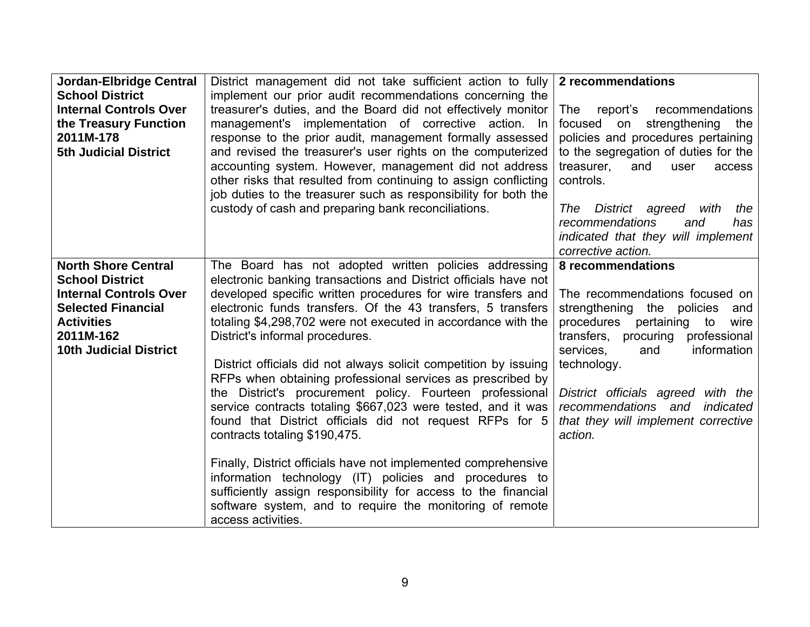| Jordan-Elbridge Central       | District management did not take sufficient action to fully      | 2 recommendations                      |
|-------------------------------|------------------------------------------------------------------|----------------------------------------|
| <b>School District</b>        | implement our prior audit recommendations concerning the         |                                        |
| <b>Internal Controls Over</b> | treasurer's duties, and the Board did not effectively monitor    | report's recommendations<br>The        |
| the Treasury Function         | management's implementation of corrective action. In             | focused<br>strengthening<br>on<br>the  |
| 2011M-178                     | response to the prior audit, management formally assessed        | policies and procedures pertaining     |
| <b>5th Judicial District</b>  | and revised the treasurer's user rights on the computerized      | to the segregation of duties for the   |
|                               | accounting system. However, management did not address           | treasurer,<br>and<br>user<br>access    |
|                               | other risks that resulted from continuing to assign conflicting  | controls.                              |
|                               | job duties to the treasurer such as responsibility for both the  |                                        |
|                               | custody of cash and preparing bank reconciliations.              | The<br>District agreed<br>with<br>the  |
|                               |                                                                  | recommendations<br>and<br>has          |
|                               |                                                                  | indicated that they will implement     |
|                               |                                                                  | corrective action.                     |
| <b>North Shore Central</b>    | The Board has not adopted written policies addressing            | 8 recommendations                      |
| <b>School District</b>        | electronic banking transactions and District officials have not  |                                        |
| <b>Internal Controls Over</b> | developed specific written procedures for wire transfers and     | The recommendations focused on         |
| <b>Selected Financial</b>     | electronic funds transfers. Of the 43 transfers, 5 transfers     | strengthening the policies<br>and      |
| <b>Activities</b>             | totaling \$4,298,702 were not executed in accordance with the    | pertaining<br>procedures<br>to<br>wire |
| 2011M-162                     | District's informal procedures.                                  | transfers, procuring professional      |
| <b>10th Judicial District</b> |                                                                  | information<br>services,<br>and        |
|                               | District officials did not always solicit competition by issuing | technology.                            |
|                               | RFPs when obtaining professional services as prescribed by       |                                        |
|                               | the District's procurement policy. Fourteen professional         | District officials agreed with the     |
|                               | service contracts totaling \$667,023 were tested, and it was     | recommendations and indicated          |
|                               | found that District officials did not request RFPs for 5         | that they will implement corrective    |
|                               | contracts totaling \$190,475.                                    | action.                                |
|                               |                                                                  |                                        |
|                               | Finally, District officials have not implemented comprehensive   |                                        |
|                               | information technology (IT) policies and procedures to           |                                        |
|                               | sufficiently assign responsibility for access to the financial   |                                        |
|                               | software system, and to require the monitoring of remote         |                                        |
|                               | access activities.                                               |                                        |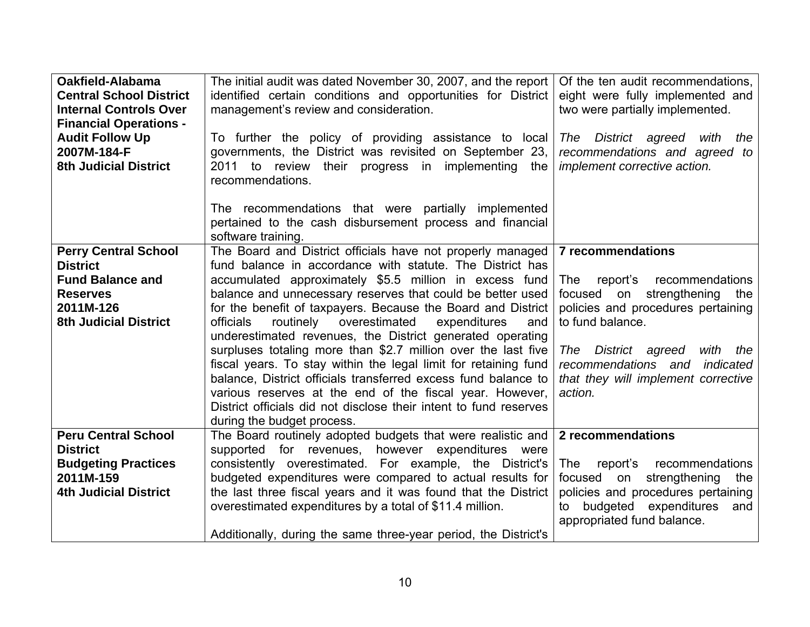| Oakfield-Alabama<br><b>Central School District</b><br><b>Internal Controls Over</b><br><b>Financial Operations -</b><br><b>Audit Follow Up</b><br>2007M-184-F<br><b>8th Judicial District</b> | The initial audit was dated November 30, 2007, and the report<br>identified certain conditions and opportunities for District<br>management's review and consideration.<br>To further the policy of providing assistance to local<br>governments, the District was revisited on September 23,<br>2011 to review their progress in implementing<br>the<br>recommendations.                                                      | Of the ten audit recommendations,<br>eight were fully implemented and<br>two were partially implemented.<br>The District agreed<br>with<br>the<br>recommendations and agreed to<br>implement corrective action. |
|-----------------------------------------------------------------------------------------------------------------------------------------------------------------------------------------------|--------------------------------------------------------------------------------------------------------------------------------------------------------------------------------------------------------------------------------------------------------------------------------------------------------------------------------------------------------------------------------------------------------------------------------|-----------------------------------------------------------------------------------------------------------------------------------------------------------------------------------------------------------------|
|                                                                                                                                                                                               | The recommendations that were partially implemented<br>pertained to the cash disbursement process and financial<br>software training.                                                                                                                                                                                                                                                                                          |                                                                                                                                                                                                                 |
| <b>Perry Central School</b><br><b>District</b>                                                                                                                                                | The Board and District officials have not properly managed<br>fund balance in accordance with statute. The District has                                                                                                                                                                                                                                                                                                        | <b>7 recommendations</b>                                                                                                                                                                                        |
| <b>Fund Balance and</b>                                                                                                                                                                       | accumulated approximately \$5.5 million in excess fund                                                                                                                                                                                                                                                                                                                                                                         | report's recommendations<br>The                                                                                                                                                                                 |
| <b>Reserves</b><br>2011M-126                                                                                                                                                                  | balance and unnecessary reserves that could be better used<br>for the benefit of taxpayers. Because the Board and District                                                                                                                                                                                                                                                                                                     | focused on strengthening<br>the<br>policies and procedures pertaining                                                                                                                                           |
| <b>8th Judicial District</b>                                                                                                                                                                  | routinely overestimated<br>officials<br>expenditures<br>and                                                                                                                                                                                                                                                                                                                                                                    | to fund balance.                                                                                                                                                                                                |
|                                                                                                                                                                                               | underestimated revenues, the District generated operating<br>surpluses totaling more than \$2.7 million over the last five<br>fiscal years. To stay within the legal limit for retaining fund<br>balance, District officials transferred excess fund balance to<br>various reserves at the end of the fiscal year. However,<br>District officials did not disclose their intent to fund reserves<br>during the budget process. | District agreed<br>with<br>The T<br>the<br>recommendations and<br>indicated<br>that they will implement corrective<br>action.                                                                                   |
| <b>Peru Central School</b><br><b>District</b>                                                                                                                                                 | The Board routinely adopted budgets that were realistic and<br>supported for revenues, however expenditures were                                                                                                                                                                                                                                                                                                               | 2 recommendations                                                                                                                                                                                               |
| <b>Budgeting Practices</b>                                                                                                                                                                    | consistently overestimated. For example, the District's                                                                                                                                                                                                                                                                                                                                                                        | report's recommendations<br>The                                                                                                                                                                                 |
| 2011M-159<br><b>4th Judicial District</b>                                                                                                                                                     | budgeted expenditures were compared to actual results for<br>the last three fiscal years and it was found that the District                                                                                                                                                                                                                                                                                                    | focused on<br>strengthening<br>the<br>policies and procedures pertaining                                                                                                                                        |
|                                                                                                                                                                                               | overestimated expenditures by a total of \$11.4 million.                                                                                                                                                                                                                                                                                                                                                                       | to budgeted expenditures<br>and<br>appropriated fund balance.                                                                                                                                                   |
|                                                                                                                                                                                               | Additionally, during the same three-year period, the District's                                                                                                                                                                                                                                                                                                                                                                |                                                                                                                                                                                                                 |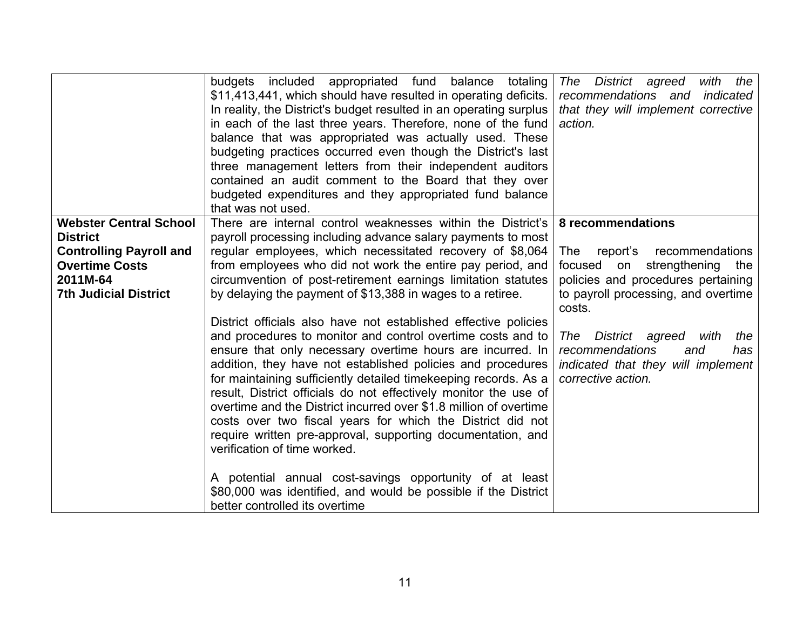|                                                                                                                                                         | budgets included appropriated fund balance totaling<br>\$11,413,441, which should have resulted in operating deficits.<br>In reality, the District's budget resulted in an operating surplus<br>in each of the last three years. Therefore, none of the fund<br>balance that was appropriated was actually used. These<br>budgeting practices occurred even though the District's last<br>three management letters from their independent auditors<br>contained an audit comment to the Board that they over<br>budgeted expenditures and they appropriated fund balance<br>that was not used.                                                                                                                                                                                                                                                                                                                                                                                                                                                                                                                                                                                               | The District agreed<br>with the<br>recommendations and indicated<br>that they will implement corrective<br>action.                                                                                                                                                                                                 |
|---------------------------------------------------------------------------------------------------------------------------------------------------------|----------------------------------------------------------------------------------------------------------------------------------------------------------------------------------------------------------------------------------------------------------------------------------------------------------------------------------------------------------------------------------------------------------------------------------------------------------------------------------------------------------------------------------------------------------------------------------------------------------------------------------------------------------------------------------------------------------------------------------------------------------------------------------------------------------------------------------------------------------------------------------------------------------------------------------------------------------------------------------------------------------------------------------------------------------------------------------------------------------------------------------------------------------------------------------------------|--------------------------------------------------------------------------------------------------------------------------------------------------------------------------------------------------------------------------------------------------------------------------------------------------------------------|
| <b>Webster Central School</b><br><b>District</b><br><b>Controlling Payroll and</b><br><b>Overtime Costs</b><br>2011M-64<br><b>7th Judicial District</b> | There are internal control weaknesses within the District's<br>payroll processing including advance salary payments to most<br>regular employees, which necessitated recovery of \$8,064<br>from employees who did not work the entire pay period, and<br>circumvention of post-retirement earnings limitation statutes<br>by delaying the payment of \$13,388 in wages to a retiree.<br>District officials also have not established effective policies<br>and procedures to monitor and control overtime costs and to<br>ensure that only necessary overtime hours are incurred. In<br>addition, they have not established policies and procedures<br>for maintaining sufficiently detailed timekeeping records. As a<br>result, District officials do not effectively monitor the use of<br>overtime and the District incurred over \$1.8 million of overtime<br>costs over two fiscal years for which the District did not<br>require written pre-approval, supporting documentation, and<br>verification of time worked.<br>A potential annual cost-savings opportunity of at least<br>\$80,000 was identified, and would be possible if the District<br>better controlled its overtime | 8 recommendations<br>report's recommendations<br><b>The</b><br>focused on strengthening the<br>policies and procedures pertaining<br>to payroll processing, and overtime<br>costs.<br>The District agreed with<br>the<br>recommendations<br>and<br>has<br>indicated that they will implement<br>corrective action. |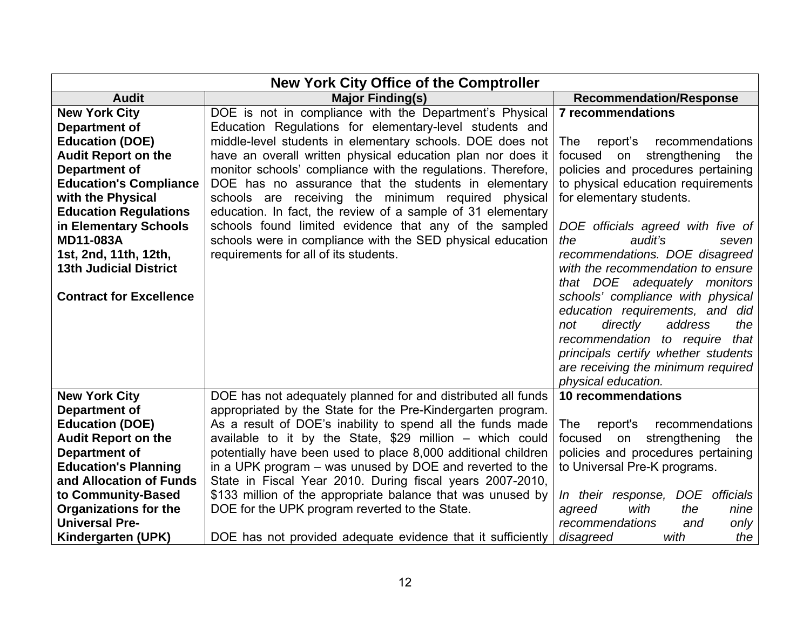| <b>New York City Office of the Comptroller</b> |                                                               |                                                           |  |  |
|------------------------------------------------|---------------------------------------------------------------|-----------------------------------------------------------|--|--|
| <b>Audit</b>                                   | <b>Major Finding(s)</b>                                       | <b>Recommendation/Response</b>                            |  |  |
| <b>New York City</b>                           | DOE is not in compliance with the Department's Physical       | <b>7 recommendations</b>                                  |  |  |
| Department of                                  | Education Regulations for elementary-level students and       |                                                           |  |  |
| <b>Education (DOE)</b>                         | middle-level students in elementary schools. DOE does not     | recommendations<br>The<br>report's                        |  |  |
| <b>Audit Report on the</b>                     | have an overall written physical education plan nor does it   | focused<br>strengthening<br>on<br>the                     |  |  |
| <b>Department of</b>                           | monitor schools' compliance with the regulations. Therefore,  | policies and procedures pertaining                        |  |  |
| <b>Education's Compliance</b>                  | DOE has no assurance that the students in elementary          | to physical education requirements                        |  |  |
| with the Physical                              | schools are receiving the minimum required physical           | for elementary students.                                  |  |  |
| <b>Education Regulations</b>                   | education. In fact, the review of a sample of 31 elementary   |                                                           |  |  |
| in Elementary Schools                          | schools found limited evidence that any of the sampled        | DOE officials agreed with five of                         |  |  |
| <b>MD11-083A</b>                               | schools were in compliance with the SED physical education    | audit's<br>the<br>seven                                   |  |  |
| 1st, 2nd, 11th, 12th,                          | requirements for all of its students.                         | recommendations. DOE disagreed                            |  |  |
| <b>13th Judicial District</b>                  |                                                               | with the recommendation to ensure                         |  |  |
|                                                |                                                               | that DOE adequately monitors                              |  |  |
| <b>Contract for Excellence</b>                 |                                                               | schools' compliance with physical                         |  |  |
|                                                |                                                               | education requirements, and did                           |  |  |
|                                                |                                                               | directly<br>address<br>the<br>not                         |  |  |
|                                                |                                                               | recommendation to require<br>that                         |  |  |
|                                                |                                                               | principals certify whether students                       |  |  |
|                                                |                                                               | are receiving the minimum required<br>physical education. |  |  |
| <b>New York City</b>                           | DOE has not adequately planned for and distributed all funds  | 10 recommendations                                        |  |  |
| <b>Department of</b>                           | appropriated by the State for the Pre-Kindergarten program.   |                                                           |  |  |
| <b>Education (DOE)</b>                         | As a result of DOE's inability to spend all the funds made    | The<br>report's<br>recommendations                        |  |  |
| <b>Audit Report on the</b>                     | available to it by the State, $$29$ million - which could     | focused on<br>strengthening<br>the                        |  |  |
| <b>Department of</b>                           | potentially have been used to place 8,000 additional children | policies and procedures pertaining                        |  |  |
| <b>Education's Planning</b>                    | in a UPK program – was unused by DOE and reverted to the      | to Universal Pre-K programs.                              |  |  |
| and Allocation of Funds                        | State in Fiscal Year 2010. During fiscal years 2007-2010,     |                                                           |  |  |
| to Community-Based                             | \$133 million of the appropriate balance that was unused by   | In their response, DOE officials                          |  |  |
| <b>Organizations for the</b>                   | DOE for the UPK program reverted to the State.                | with<br>the<br>agreed<br>nine                             |  |  |
| <b>Universal Pre-</b>                          |                                                               | recommendations<br>and<br>only                            |  |  |
| Kindergarten (UPK)                             | DOE has not provided adequate evidence that it sufficiently   | disagreed<br>with<br>the                                  |  |  |